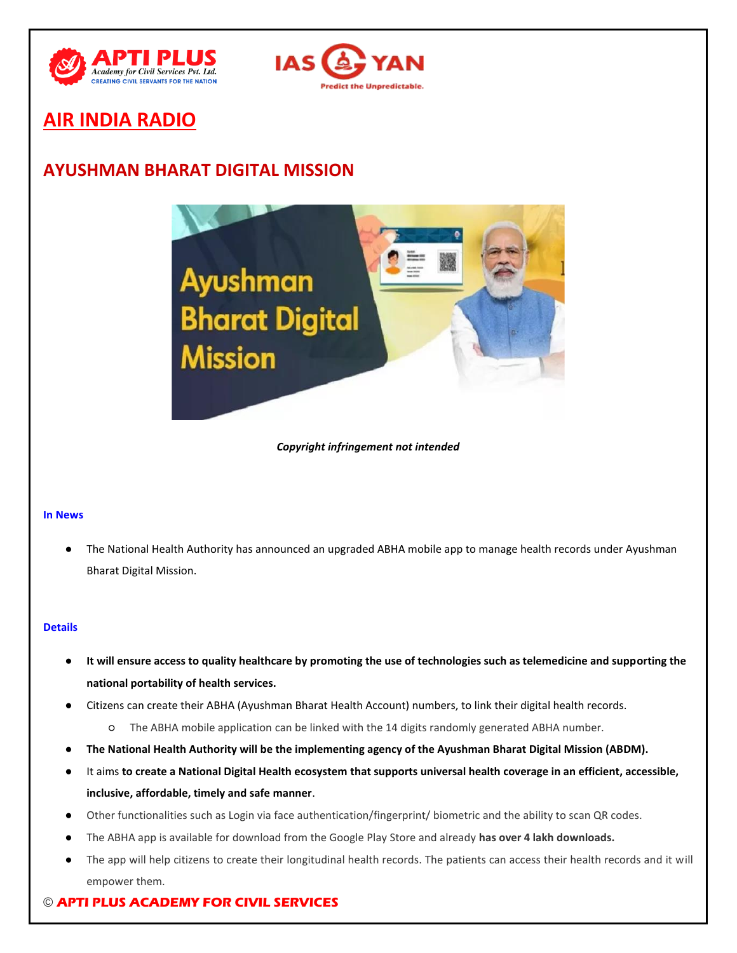



# **AIR INDIA RADIO**

# **AYUSHMAN BHARAT DIGITAL MISSION**



*Copyright infringement not intended*

## **In News**

The National Health Authority has announced an upgraded ABHA mobile app to manage health records under Ayushman Bharat Digital Mission.

## **Details**

- It will ensure access to quality healthcare by promoting the use of technologies such as telemedicine and supporting the **national portability of health services.**
- Citizens can create their ABHA (Ayushman Bharat Health Account) numbers, to link their digital health records.
	- The ABHA mobile application can be linked with the 14 digits randomly generated ABHA number.
- **The National Health Authority will be the implementing agency of the Ayushman Bharat Digital Mission (ABDM).**
- It aims **to create a National Digital Health ecosystem that supports universal health coverage in an efficient, accessible, inclusive, affordable, timely and safe manner**.
- Other functionalities such as Login via face authentication/fingerprint/ biometric and the ability to scan QR codes.
- The ABHA app is available for download from the Google Play Store and already has over 4 lakh downloads.
- The app will help citizens to create their longitudinal health records. The patients can access their health records and it will empower them.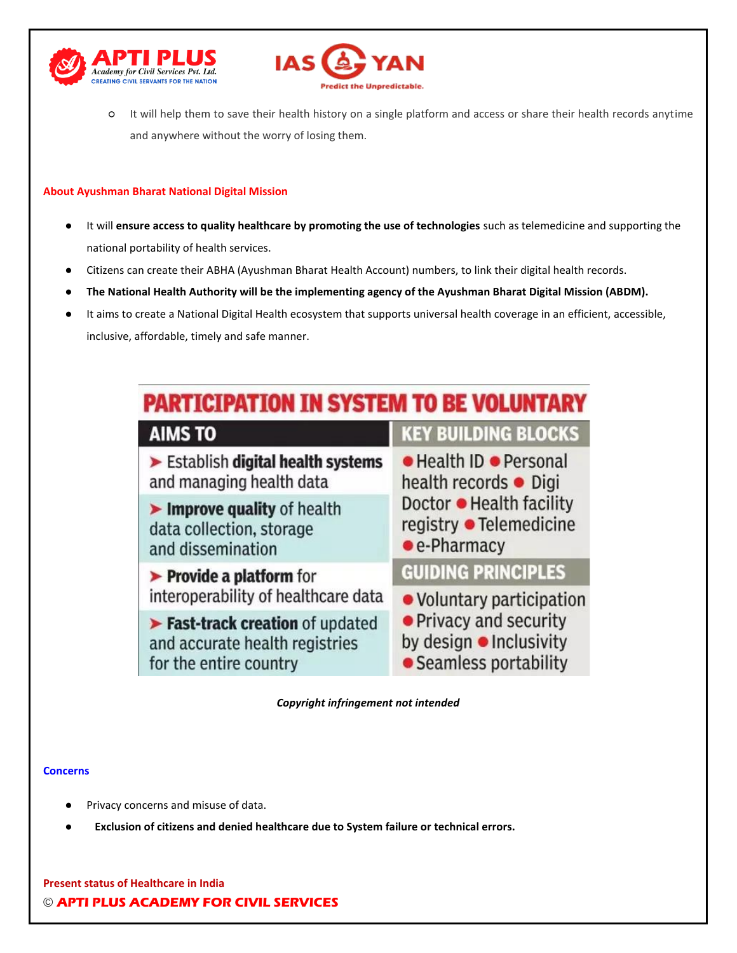



○ It will help them to save their health history on a single platform and access or share their health records anytime and anywhere without the worry of losing them.

## **About Ayushman Bharat National Digital Mission**

- It will ensure access to quality healthcare by promoting the use of technologies such as telemedicine and supporting the national portability of health services.
- Citizens can create their ABHA (Ayushman Bharat Health Account) numbers, to link their digital health records.
- **The National Health Authority will be the implementing agency of the Ayushman Bharat Digital Mission (ABDM).**
- It aims to create a National Digital Health ecosystem that supports universal health coverage in an efficient, accessible, inclusive, affordable, timely and safe manner.



*Copyright infringement not intended*

## **Concerns**

- Privacy concerns and misuse of data.
- Exclusion of citizens and denied healthcare due to System failure or technical errors.

© **APTI PLUS ACADEMY FOR CIVIL SERVICES Present status of Healthcare in India**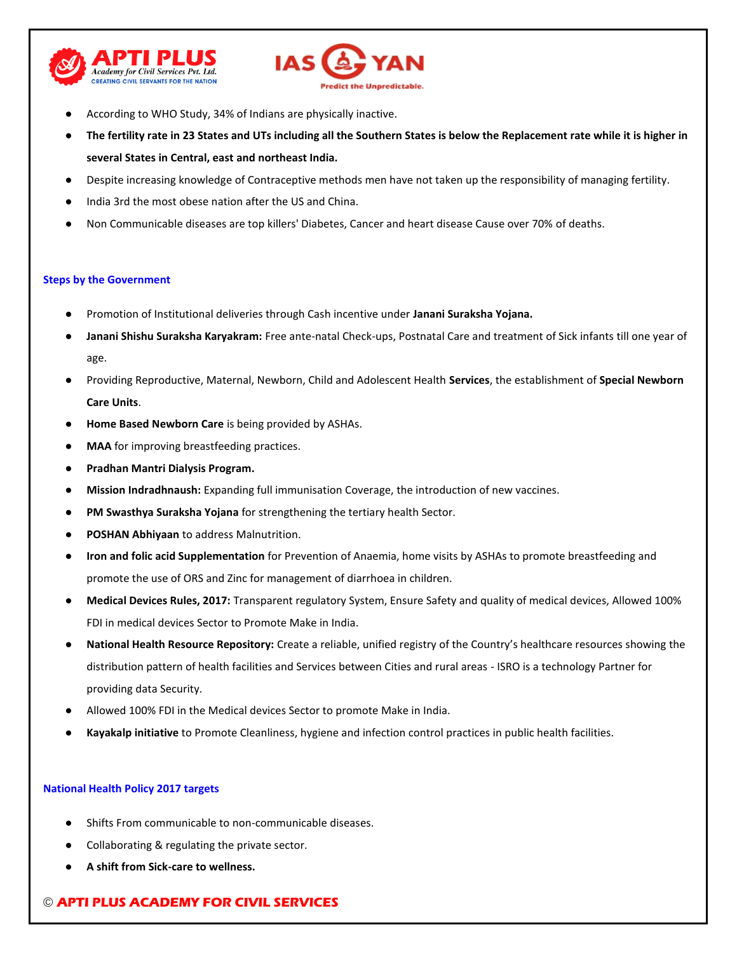



- According to WHO Study, 34% of Indians are physically inactive.
- **The fertility rate in 23 States and UTs including all the Southern States is below the Replacement rate while it is higher in several States in Central, east and northeast India.**
- Despite increasing knowledge of Contraceptive methods men have not taken up the responsibility of managing fertility.
- India 3rd the most obese nation after the US and China.
- Non Communicable diseases are top killers' Diabetes, Cancer and heart disease Cause over 70% of deaths.

## **Steps by the Government**

- Promotion of Institutional deliveries through Cash incentive under **Janani Suraksha Yojana.**
- **Janani Shishu Suraksha Karyakram:** Free ante-natal Check-ups, Postnatal Care and treatment of Sick infants till one year of age.
- Providing Reproductive, Maternal, Newborn, Child and Adolescent Health **Services**, the establishment of **Special Newborn Care Units**.
- Home Based Newborn Care is being provided by ASHAs.
- **MAA** for improving breastfeeding practices.
- **Pradhan Mantri Dialysis Program.**
- **Mission Indradhnaush:** Expanding full immunisation Coverage, the introduction of new vaccines.
- PM Swasthya Suraksha Yojana for strengthening the tertiary health Sector.
- **POSHAN Abhiyaan** to address Malnutrition.
- **Iron and folic acid Supplementation** for Prevention of Anaemia, home visits by ASHAs to promote breastfeeding and promote the use of ORS and Zinc for management of diarrhoea in children.
- **Medical Devices Rules, 2017:** Transparent regulatory System, Ensure Safety and quality of medical devices, Allowed 100% FDI in medical devices Sector to Promote Make in India.
- **National Health Resource Repository:** Create a reliable, unified registry of the Country's healthcare resources showing the distribution pattern of health facilities and Services between Cities and rural areas - ISRO is a technology Partner for providing data Security.
- Allowed 100% FDI in the Medical devices Sector to promote Make in India.
- **Kayakalp initiative** to Promote Cleanliness, hygiene and infection control practices in public health facilities.

## **National Health Policy 2017 targets**

- Shifts From communicable to non-communicable diseases.
- Collaborating & regulating the private sector.
- **A shift from Sick-care to wellness.**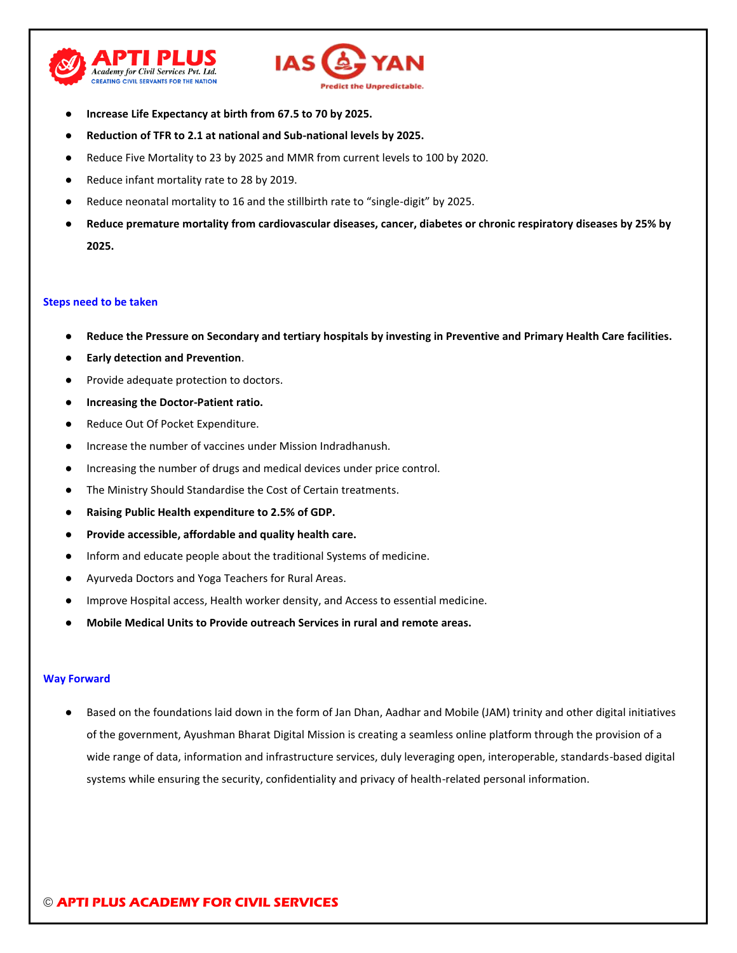



- **Increase Life Expectancy at birth from 67.5 to 70 by 2025.**
- **Reduction of TFR to 2.1 at national and Sub-national levels by 2025.**
- Reduce Five Mortality to 23 by 2025 and MMR from current levels to 100 by 2020.
- Reduce infant mortality rate to 28 by 2019.
- Reduce neonatal mortality to 16 and the stillbirth rate to "single-digit" by 2025.
- **Reduce premature mortality from cardiovascular diseases, cancer, diabetes or chronic respiratory diseases by 25% by 2025.**

#### **Steps need to be taken**

- **Reduce the Pressure on Secondary and tertiary hospitals by investing in Preventive and Primary Health Care facilities.**
- **Early detection and Prevention.**
- Provide adequate protection to doctors.
- **Increasing the Doctor-Patient ratio.**
- Reduce Out Of Pocket Expenditure.
- Increase the number of vaccines under Mission Indradhanush.
- Increasing the number of drugs and medical devices under price control.
- The Ministry Should Standardise the Cost of Certain treatments.
- **Raising Public Health expenditure to 2.5% of GDP.**
- Provide accessible, affordable and quality health care.
- Inform and educate people about the traditional Systems of medicine.
- Ayurveda Doctors and Yoga Teachers for Rural Areas.
- Improve Hospital access, Health worker density, and Access to essential medicine.
- **Mobile Medical Units to Provide outreach Services in rural and remote areas.**

#### **Way Forward**

Based on the foundations laid down in the form of Jan Dhan, Aadhar and Mobile (JAM) trinity and other digital initiatives of the government, Ayushman Bharat Digital Mission is creating a seamless online platform through the provision of a wide range of data, information and infrastructure services, duly leveraging open, interoperable, standards-based digital systems while ensuring the security, confidentiality and privacy of health-related personal information.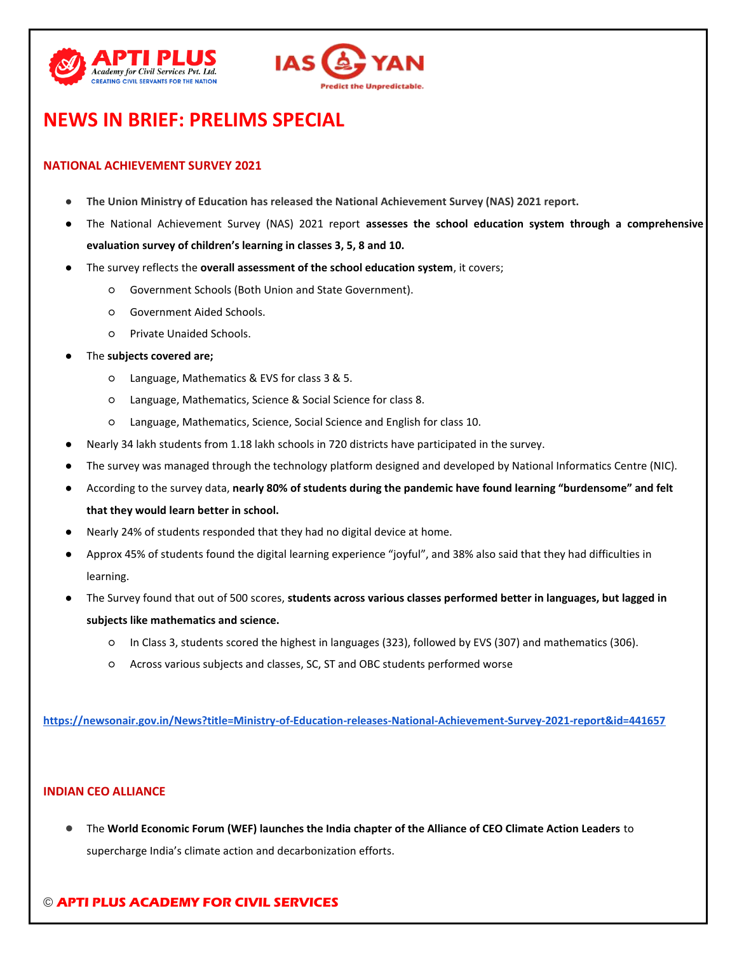



# **NEWS IN BRIEF: PRELIMS SPECIAL**

# **NATIONAL ACHIEVEMENT SURVEY 2021**

- **The Union Ministry of Education has released the National Achievement Survey (NAS) 2021 report.**
- The National Achievement Survey (NAS) 2021 report assesses the school education system through a comprehensive **evaluation survey of children's learning in classes 3, 5, 8 and 10.**
- The survey reflects the **overall assessment of the school education system**, it covers;
	- Government Schools (Both Union and State Government).
	- Government Aided Schools.
	- Private Unaided Schools.
- The **subjects covered are;** 
	- Language, Mathematics & EVS for class 3 & 5.
	- Language, Mathematics, Science & Social Science for class 8.
	- Language, Mathematics, Science, Social Science and English for class 10.
- Nearly 34 lakh students from 1.18 lakh schools in 720 districts have participated in the survey.
- The survey was managed through the technology platform designed and developed by National Informatics Centre (NIC).
- According to the survey data, **nearly 80% of students during the pandemic have found learning "burdensome" and felt that they would learn better in school.**
- Nearly 24% of students responded that they had no digital device at home.
- Approx 45% of students found the digital learning experience "joyful", and 38% also said that they had difficulties in learning.
- The Survey found that out of 500 scores, students across various classes performed better in languages, but lagged in **subjects like mathematics and science.**
	- In Class 3, students scored the highest in languages (323), followed by EVS (307) and mathematics (306).
	- Across various subjects and classes, SC, ST and OBC students performed worse

**<https://newsonair.gov.in/News?title=Ministry-of-Education-releases-National-Achievement-Survey-2021-report&id=441657>**

## **INDIAN CEO ALLIANCE**

● The **World Economic Forum (WEF) launches the India chapter of the Alliance of CEO Climate Action Leaders** to supercharge India's climate action and decarbonization efforts.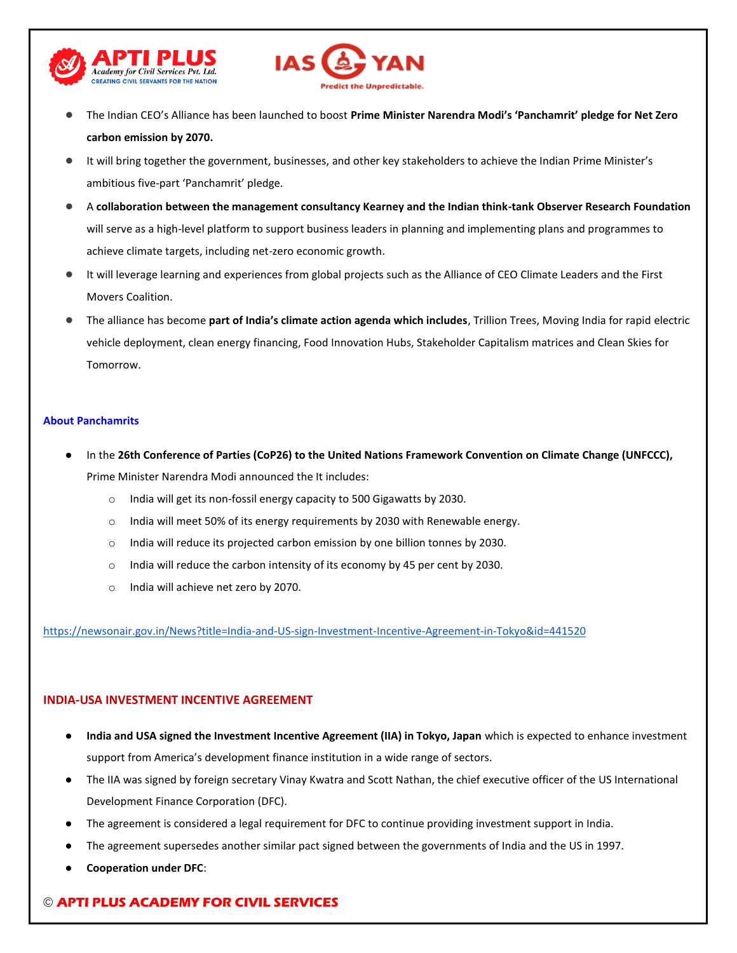



- The Indian CEO's Alliance has been launched to boost **Prime Minister Narendra Modi's 'Panchamrit' pledge for Net Zero carbon emission by 2070.**
- It will bring together the government, businesses, and other key stakeholders to achieve the Indian Prime Minister's ambitious five-part 'Panchamrit' pledge.
- A **collaboration between the management consultancy Kearney and the Indian think-tank Observer Research Foundation**  will serve as a high-level platform to support business leaders in planning and implementing plans and programmes to achieve climate targets, including net-zero economic growth.
- It will leverage learning and experiences from global projects such as the Alliance of CEO Climate Leaders and the First Movers Coalition.
- The alliance has become **part of India's climate action agenda which includes**, Trillion Trees, Moving India for rapid electric vehicle deployment, clean energy financing, Food Innovation Hubs, Stakeholder Capitalism matrices and Clean Skies for Tomorrow.

## **About Panchamrits**

- In the 26th Conference of Parties (CoP26) to the United Nations Framework Convention on Climate Change (UNFCCC), Prime Minister Narendra Modi announced the It includes:
	- o India will get its non-fossil energy capacity to 500 Gigawatts by 2030.
	- o India will meet 50% of its energy requirements by 2030 with Renewable energy.
	- o India will reduce its projected carbon emission by one billion tonnes by 2030.
	- $\circ$  India will reduce the carbon intensity of its economy by 45 per cent by 2030.
	- o India will achieve net zero by 2070.

<https://newsonair.gov.in/News?title=India-and-US-sign-Investment-Incentive-Agreement-in-Tokyo&id=441520>

## **INDIA-USA INVESTMENT INCENTIVE AGREEMENT**

- **India and USA signed the Investment Incentive Agreement (IIA) in Tokyo, Japan** which is expected to enhance investment support from America's development finance institution in a wide range of sectors.
- The IIA was signed by foreign secretary Vinay Kwatra and Scott Nathan, the chief executive officer of the US International Development Finance Corporation (DFC).
- The agreement is considered a legal requirement for DFC to continue providing investment support in India.
- The agreement supersedes another similar pact signed between the governments of India and the US in 1997.
- **Cooperation under DFC:**